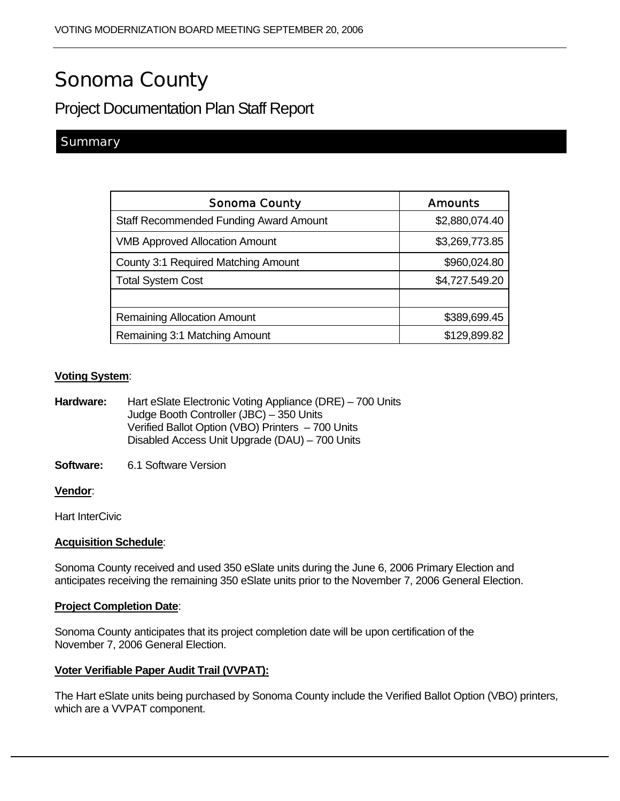# Sonoma County

Project Documentation Plan Staff Report

## **Summary**

| <b>Sonoma County</b>                          | <b>Amounts</b> |
|-----------------------------------------------|----------------|
| <b>Staff Recommended Funding Award Amount</b> | \$2,880,074.40 |
| <b>VMB Approved Allocation Amount</b>         | \$3,269,773.85 |
| County 3:1 Required Matching Amount           | \$960,024.80   |
| <b>Total System Cost</b>                      | \$4,727.549.20 |
|                                               |                |
| <b>Remaining Allocation Amount</b>            | \$389,699.45   |
| Remaining 3:1 Matching Amount                 | \$129,899.82   |

### **Voting System**:

**Hardware:** Hart eSlate Electronic Voting Appliance (DRE) – 700 Units Judge Booth Controller (JBC) – 350 Units Verified Ballot Option (VBO) Printers – 700 Units Disabled Access Unit Upgrade (DAU) – 700 Units

**Software:** 6.1 Software Version

#### **Vendor**:

Hart InterCivic

#### **Acquisition Schedule**:

Sonoma County received and used 350 eSlate units during the June 6, 2006 Primary Election and anticipates receiving the remaining 350 eSlate units prior to the November 7, 2006 General Election.

#### **Project Completion Date**:

Sonoma County anticipates that its project completion date will be upon certification of the November 7, 2006 General Election.

#### **Voter Verifiable Paper Audit Trail (VVPAT):**

The Hart eSlate units being purchased by Sonoma County include the Verified Ballot Option (VBO) printers, which are a VVPAT component.